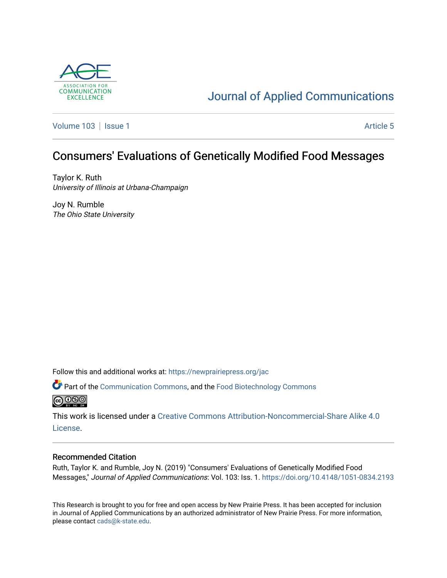

# [Journal of Applied Communications](https://newprairiepress.org/jac)

[Volume 103](https://newprairiepress.org/jac/vol103) | [Issue 1](https://newprairiepress.org/jac/vol103/iss1) Article 5

# Consumers' Evaluations of Genetically Modified Food Messages

Taylor K. Ruth University of Illinois at Urbana-Champaign

Joy N. Rumble The Ohio State University

Follow this and additional works at: [https://newprairiepress.org/jac](https://newprairiepress.org/jac?utm_source=newprairiepress.org%2Fjac%2Fvol103%2Fiss1%2F5&utm_medium=PDF&utm_campaign=PDFCoverPages)

**C** Part of the [Communication Commons,](http://network.bepress.com/hgg/discipline/325?utm_source=newprairiepress.org%2Fjac%2Fvol103%2Fiss1%2F5&utm_medium=PDF&utm_campaign=PDFCoverPages) and the Food Biotechnology Commons **@** 00

This work is licensed under a [Creative Commons Attribution-Noncommercial-Share Alike 4.0](https://creativecommons.org/licenses/by-nc-sa/4.0/) [License.](https://creativecommons.org/licenses/by-nc-sa/4.0/)

#### Recommended Citation

Ruth, Taylor K. and Rumble, Joy N. (2019) "Consumers' Evaluations of Genetically Modified Food Messages," Journal of Applied Communications: Vol. 103: Iss. 1.<https://doi.org/10.4148/1051-0834.2193>

This Research is brought to you for free and open access by New Prairie Press. It has been accepted for inclusion in Journal of Applied Communications by an authorized administrator of New Prairie Press. For more information, please contact [cads@k-state.edu.](mailto:cads@k-state.edu)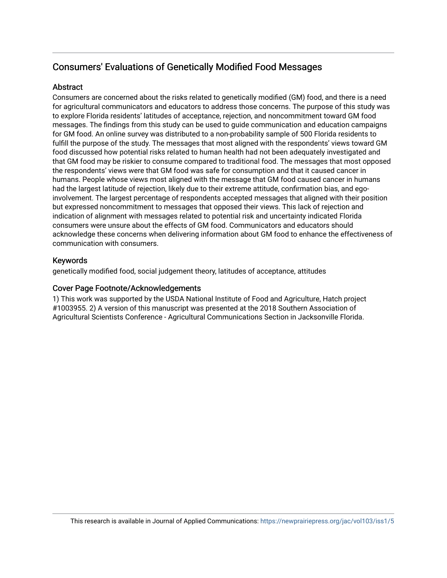# Consumers' Evaluations of Genetically Modified Food Messages

# Abstract

Consumers are concerned about the risks related to genetically modified (GM) food, and there is a need for agricultural communicators and educators to address those concerns. The purpose of this study was to explore Florida residents' latitudes of acceptance, rejection, and noncommitment toward GM food messages. The findings from this study can be used to guide communication and education campaigns for GM food. An online survey was distributed to a non-probability sample of 500 Florida residents to fulfill the purpose of the study. The messages that most aligned with the respondents' views toward GM food discussed how potential risks related to human health had not been adequately investigated and that GM food may be riskier to consume compared to traditional food. The messages that most opposed the respondents' views were that GM food was safe for consumption and that it caused cancer in humans. People whose views most aligned with the message that GM food caused cancer in humans had the largest latitude of rejection, likely due to their extreme attitude, confirmation bias, and egoinvolvement. The largest percentage of respondents accepted messages that aligned with their position but expressed noncommitment to messages that opposed their views. This lack of rejection and indication of alignment with messages related to potential risk and uncertainty indicated Florida consumers were unsure about the effects of GM food. Communicators and educators should acknowledge these concerns when delivering information about GM food to enhance the effectiveness of communication with consumers.

# Keywords

genetically modified food, social judgement theory, latitudes of acceptance, attitudes

### Cover Page Footnote/Acknowledgements

1) This work was supported by the USDA National Institute of Food and Agriculture, Hatch project #1003955. 2) A version of this manuscript was presented at the 2018 Southern Association of Agricultural Scientists Conference - Agricultural Communications Section in Jacksonville Florida.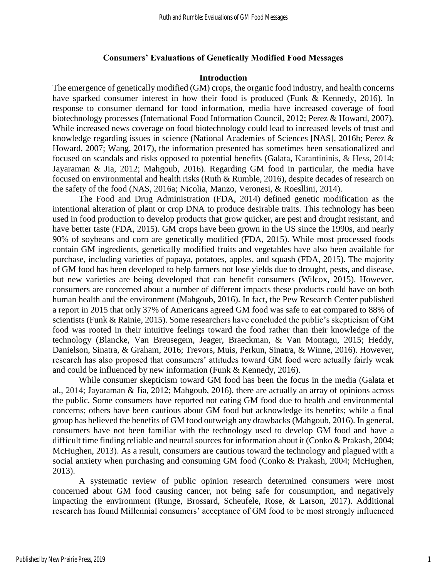#### **Consumers' Evaluations of Genetically Modified Food Messages**

#### **Introduction**

The emergence of genetically modified (GM) crops, the organic food industry, and health concerns have sparked consumer interest in how their food is produced (Funk & Kennedy, 2016). In response to consumer demand for food information, media have increased coverage of food biotechnology processes (International Food Information Council, 2012; Perez & Howard, 2007). While increased news coverage on food biotechnology could lead to increased levels of trust and knowledge regarding issues in science (National Academies of Sciences [NAS], 2016b; Perez & Howard, 2007; Wang, 2017), the information presented has sometimes been sensationalized and focused on scandals and risks opposed to potential benefits (Galata, Karantininis, & Hess, 2014; Jayaraman & Jia, 2012; Mahgoub, 2016). Regarding GM food in particular, the media have focused on environmental and health risks (Ruth & Rumble, 2016), despite decades of research on the safety of the food (NAS, 2016a; Nicolia, Manzo, Veronesi, & Roesllini, 2014).

The Food and Drug Administration (FDA, 2014) defined genetic modification as the intentional alteration of plant or crop DNA to produce desirable traits. This technology has been used in food production to develop products that grow quicker, are pest and drought resistant, and have better taste (FDA, 2015). GM crops have been grown in the US since the 1990s, and nearly 90% of soybeans and corn are genetically modified (FDA, 2015). While most processed foods contain GM ingredients, genetically modified fruits and vegetables have also been available for purchase, including varieties of papaya, potatoes, apples, and squash (FDA, 2015). The majority of GM food has been developed to help farmers not lose yields due to drought, pests, and disease, but new varieties are being developed that can benefit consumers (Wilcox, 2015). However, consumers are concerned about a number of different impacts these products could have on both human health and the environment (Mahgoub, 2016). In fact, the Pew Research Center published a report in 2015 that only 37% of Americans agreed GM food was safe to eat compared to 88% of scientists (Funk & Rainie, 2015). Some researchers have concluded the public's skepticism of GM food was rooted in their intuitive feelings toward the food rather than their knowledge of the technology (Blancke, Van Breusegem, Jeager, Braeckman, & Van Montagu, 2015; Heddy, Danielson, Sinatra, & Graham, 2016; Trevors, Muis, Perkun, Sinatra, & Winne, 2016). However, research has also proposed that consumers' attitudes toward GM food were actually fairly weak and could be influenced by new information (Funk & Kennedy, 2016).

While consumer skepticism toward GM food has been the focus in the media (Galata et al., 2014; Jayaraman & Jia, 2012; Mahgoub, 2016), there are actually an array of opinions across the public. Some consumers have reported not eating GM food due to health and environmental concerns; others have been cautious about GM food but acknowledge its benefits; while a final group has believed the benefits of GM food outweigh any drawbacks (Mahgoub, 2016). In general, consumers have not been familiar with the technology used to develop GM food and have a difficult time finding reliable and neutral sources for information about it (Conko & Prakash, 2004; McHughen, 2013). As a result, consumers are cautious toward the technology and plagued with a social anxiety when purchasing and consuming GM food (Conko & Prakash, 2004; McHughen, 2013).

A systematic review of public opinion research determined consumers were most concerned about GM food causing cancer, not being safe for consumption, and negatively impacting the environment (Runge, Brossard, Scheufele, Rose, & Larson, 2017). Additional research has found Millennial consumers' acceptance of GM food to be most strongly influenced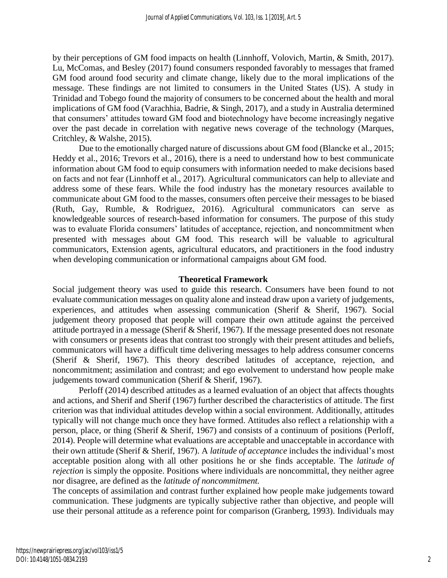by their perceptions of GM food impacts on health (Linnhoff, Volovich, Martin, & Smith, 2017). Lu, McComas, and Besley (2017) found consumers responded favorably to messages that framed GM food around food security and climate change, likely due to the moral implications of the message. These findings are not limited to consumers in the United States (US). A study in Trinidad and Tobego found the majority of consumers to be concerned about the health and moral implications of GM food (Varachhia, Badrie, & Singh, 2017), and a study in Australia determined that consumers' attitudes toward GM food and biotechnology have become increasingly negative over the past decade in correlation with negative news coverage of the technology (Marques, Critchley, & Walshe, 2015).

Due to the emotionally charged nature of discussions about GM food (Blancke et al., 2015; Heddy et al., 2016; Trevors et al., 2016), there is a need to understand how to best communicate information about GM food to equip consumers with information needed to make decisions based on facts and not fear (Linnhoff et al., 2017). Agricultural communicators can help to alleviate and address some of these fears. While the food industry has the monetary resources available to communicate about GM food to the masses, consumers often perceive their messages to be biased (Ruth, Gay, Rumble, & Rodriguez, 2016). Agricultural communicators can serve as knowledgeable sources of research-based information for consumers. The purpose of this study was to evaluate Florida consumers' latitudes of acceptance, rejection, and noncommitment when presented with messages about GM food. This research will be valuable to agricultural communicators, Extension agents, agricultural educators, and practitioners in the food industry when developing communication or informational campaigns about GM food.

#### **Theoretical Framework**

Social judgement theory was used to guide this research. Consumers have been found to not evaluate communication messages on quality alone and instead draw upon a variety of judgements, experiences, and attitudes when assessing communication (Sherif & Sherif, 1967). Social judgement theory proposed that people will compare their own attitude against the perceived attitude portrayed in a message (Sherif & Sherif, 1967). If the message presented does not resonate with consumers or presents ideas that contrast too strongly with their present attitudes and beliefs, communicators will have a difficult time delivering messages to help address consumer concerns (Sherif & Sherif, 1967). This theory described latitudes of acceptance, rejection, and noncommitment; assimilation and contrast; and ego evolvement to understand how people make judgements toward communication (Sherif & Sherif, 1967).

Perloff (2014) described attitudes as a learned evaluation of an object that affects thoughts and actions, and Sherif and Sherif (1967) further described the characteristics of attitude. The first criterion was that individual attitudes develop within a social environment. Additionally, attitudes typically will not change much once they have formed. Attitudes also reflect a relationship with a person, place, or thing (Sherif & Sherif, 1967) and consists of a continuum of positions (Perloff, 2014). People will determine what evaluations are acceptable and unacceptable in accordance with their own attitude (Sherif & Sherif, 1967). A *latitude of acceptance* includes the individual's most acceptable position along with all other positions he or she finds acceptable. The *latitude of rejection* is simply the opposite. Positions where individuals are noncommittal, they neither agree nor disagree, are defined as the *latitude of noncommitment.* 

The concepts of assimilation and contrast further explained how people make judgements toward communication. These judgments are typically subjective rather than objective, and people will use their personal attitude as a reference point for comparison (Granberg, 1993). Individuals may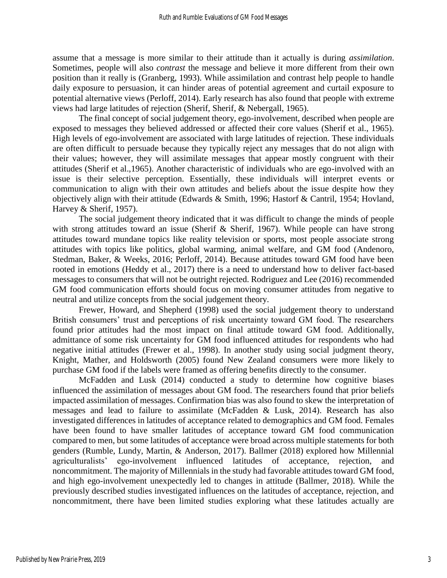assume that a message is more similar to their attitude than it actually is during *assimilation*. Sometimes, people will also *contrast* the message and believe it more different from their own position than it really is (Granberg, 1993). While assimilation and contrast help people to handle daily exposure to persuasion, it can hinder areas of potential agreement and curtail exposure to potential alternative views (Perloff, 2014). Early research has also found that people with extreme views had large latitudes of rejection (Sherif, Sherif, & Nebergall, 1965).

The final concept of social judgement theory, ego-involvement, described when people are exposed to messages they believed addressed or affected their core values (Sherif et al., 1965). High levels of ego-involvement are associated with large latitudes of rejection. These individuals are often difficult to persuade because they typically reject any messages that do not align with their values; however, they will assimilate messages that appear mostly congruent with their attitudes (Sherif et al.,1965). Another characteristic of individuals who are ego-involved with an issue is their selective perception. Essentially, these individuals will interpret events or communication to align with their own attitudes and beliefs about the issue despite how they objectively align with their attitude (Edwards & Smith, 1996; Hastorf & Cantril, 1954; Hovland, Harvey & Sherif, 1957).

The social judgement theory indicated that it was difficult to change the minds of people with strong attitudes toward an issue (Sherif & Sherif, 1967). While people can have strong attitudes toward mundane topics like reality television or sports, most people associate strong attitudes with topics like politics, global warming, animal welfare, and GM food (Andenoro, Stedman, Baker, & Weeks, 2016; Perloff, 2014). Because attitudes toward GM food have been rooted in emotions (Heddy et al., 2017) there is a need to understand how to deliver fact-based messages to consumers that will not be outright rejected. Rodriguez and Lee (2016) recommended GM food communication efforts should focus on moving consumer attitudes from negative to neutral and utilize concepts from the social judgement theory.

Frewer, Howard, and Shepherd (1998) used the social judgement theory to understand British consumers' trust and perceptions of risk uncertainty toward GM food. The researchers found prior attitudes had the most impact on final attitude toward GM food. Additionally, admittance of some risk uncertainty for GM food influenced attitudes for respondents who had negative initial attitudes (Frewer et al., 1998). In another study using social judgment theory, Knight, Mather, and Holdsworth (2005) found New Zealand consumers were more likely to purchase GM food if the labels were framed as offering benefits directly to the consumer.

McFadden and Lusk (2014) conducted a study to determine how cognitive biases influenced the assimilation of messages about GM food. The researchers found that prior beliefs impacted assimilation of messages. Confirmation bias was also found to skew the interpretation of messages and lead to failure to assimilate (McFadden & Lusk, 2014). Research has also investigated differences in latitudes of acceptance related to demographics and GM food. Females have been found to have smaller latitudes of acceptance toward GM food communication compared to men, but some latitudes of acceptance were broad across multiple statements for both genders (Rumble, Lundy, Martin, & Anderson, 2017). Ballmer (2018) explored how Millennial agriculturalists' ego-involvement influenced latitudes of acceptance, rejection, and noncommitment. The majority of Millennials in the study had favorable attitudes toward GM food, and high ego-involvement unexpectedly led to changes in attitude (Ballmer, 2018). While the previously described studies investigated influences on the latitudes of acceptance, rejection, and noncommitment, there have been limited studies exploring what these latitudes actually are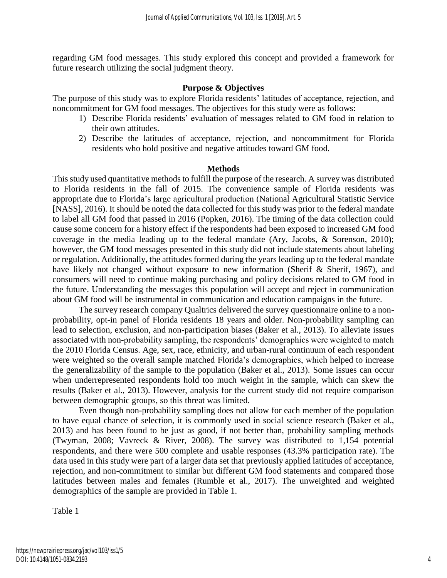regarding GM food messages. This study explored this concept and provided a framework for future research utilizing the social judgment theory.

# **Purpose & Objectives**

The purpose of this study was to explore Florida residents' latitudes of acceptance, rejection, and noncommitment for GM food messages. The objectives for this study were as follows:

- 1) Describe Florida residents' evaluation of messages related to GM food in relation to their own attitudes.
- 2) Describe the latitudes of acceptance, rejection, and noncommitment for Florida residents who hold positive and negative attitudes toward GM food.

### **Methods**

This study used quantitative methods to fulfill the purpose of the research. A survey was distributed to Florida residents in the fall of 2015. The convenience sample of Florida residents was appropriate due to Florida's large agricultural production (National Agricultural Statistic Service [NASS], 2016). It should be noted the data collected for this study was prior to the federal mandate to label all GM food that passed in 2016 (Popken, 2016). The timing of the data collection could cause some concern for a history effect if the respondents had been exposed to increased GM food coverage in the media leading up to the federal mandate (Ary, Jacobs, & Sorenson, 2010); however, the GM food messages presented in this study did not include statements about labeling or regulation. Additionally, the attitudes formed during the years leading up to the federal mandate have likely not changed without exposure to new information (Sherif & Sherif, 1967), and consumers will need to continue making purchasing and policy decisions related to GM food in the future. Understanding the messages this population will accept and reject in communication about GM food will be instrumental in communication and education campaigns in the future.

The survey research company Qualtrics delivered the survey questionnaire online to a nonprobability, opt-in panel of Florida residents 18 years and older. Non-probability sampling can lead to selection, exclusion, and non-participation biases (Baker et al., 2013). To alleviate issues associated with non-probability sampling, the respondents' demographics were weighted to match the 2010 Florida Census. Age, sex, race, ethnicity, and urban-rural continuum of each respondent were weighted so the overall sample matched Florida's demographics, which helped to increase the generalizability of the sample to the population (Baker et al., 2013). Some issues can occur when underrepresented respondents hold too much weight in the sample, which can skew the results (Baker et al., 2013). However, analysis for the current study did not require comparison between demographic groups, so this threat was limited.

Even though non-probability sampling does not allow for each member of the population to have equal chance of selection, it is commonly used in social science research (Baker et al., 2013) and has been found to be just as good, if not better than, probability sampling methods (Twyman, 2008; Vavreck & River, 2008). The survey was distributed to 1,154 potential respondents, and there were 500 complete and usable responses (43.3% participation rate). The data used in this study were part of a larger data set that previously applied latitudes of acceptance, rejection, and non-commitment to similar but different GM food statements and compared those latitudes between males and females (Rumble et al., 2017). The unweighted and weighted demographics of the sample are provided in Table 1.

Table 1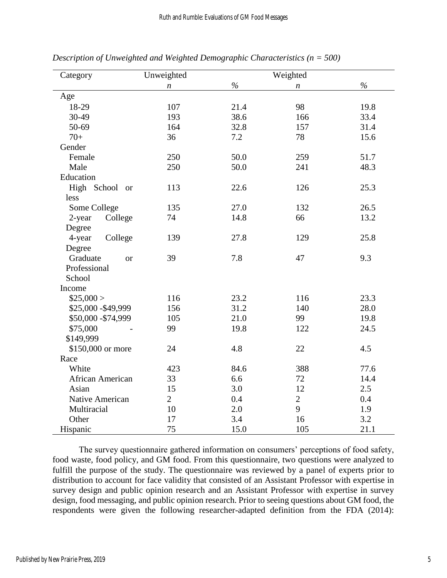| Category              | Weighted<br>Unweighted |               |                  |               |
|-----------------------|------------------------|---------------|------------------|---------------|
|                       | $\boldsymbol{n}$       | $\frac{6}{6}$ | $\boldsymbol{n}$ | $\frac{6}{6}$ |
| Age                   |                        |               |                  |               |
| 18-29                 | 107                    | 21.4          | 98               | 19.8          |
| 30-49                 | 193                    | 38.6          | 166              | 33.4          |
| 50-69                 | 164                    | 32.8          | 157              | 31.4          |
| $70+$                 | 36                     | 7.2           | 78               | 15.6          |
| Gender                |                        |               |                  |               |
| Female                | 250                    | 50.0          | 259              | 51.7          |
| Male                  | 250                    | 50.0          | 241              | 48.3          |
| Education             |                        |               |                  |               |
| High School or        | 113                    | 22.6          | 126              | 25.3          |
| less                  |                        |               |                  |               |
| Some College          | 135                    | 27.0          | 132              | 26.5          |
| College<br>2-year     | 74                     | 14.8          | 66               | 13.2          |
| Degree                |                        |               |                  |               |
| 4-year<br>College     | 139                    | 27.8          | 129              | 25.8          |
| Degree                |                        |               |                  |               |
| Graduate<br><b>or</b> | 39                     | 7.8           | 47               | 9.3           |
| Professional          |                        |               |                  |               |
| School                |                        |               |                  |               |
| Income                |                        |               |                  |               |
| \$25,000>             | 116                    | 23.2          | 116              | 23.3          |
| \$25,000 - \$49,999   | 156                    | 31.2          | 140              | 28.0          |
| \$50,000 - \$74,999   | 105                    | 21.0          | 99               | 19.8          |
| \$75,000              | 99                     | 19.8          | 122              | 24.5          |
| \$149,999             |                        |               |                  |               |
| \$150,000 or more     | 24                     | 4.8           | 22               | 4.5           |
| Race                  |                        |               |                  |               |
| White                 | 423                    | 84.6          | 388              | 77.6          |
| African American      | 33                     | 6.6           | 72               | 14.4          |
| Asian                 | 15                     | 3.0           | 12               | 2.5           |
| Native American       | $\overline{2}$         | 0.4           | $\overline{2}$   | 0.4           |
| Multiracial           | 10                     | 2.0           | 9                | 1.9           |
| Other                 | 17                     | 3.4           | 16               | 3.2           |
| Hispanic              | 75                     | 15.0          | 105              | 21.1          |

*Description of Unweighted and Weighted Demographic Characteristics (n = 500)*

The survey questionnaire gathered information on consumers' perceptions of food safety, food waste, food policy, and GM food. From this questionnaire, two questions were analyzed to fulfill the purpose of the study. The questionnaire was reviewed by a panel of experts prior to distribution to account for face validity that consisted of an Assistant Professor with expertise in survey design and public opinion research and an Assistant Professor with expertise in survey design, food messaging, and public opinion research. Prior to seeing questions about GM food, the respondents were given the following researcher-adapted definition from the FDA (2014):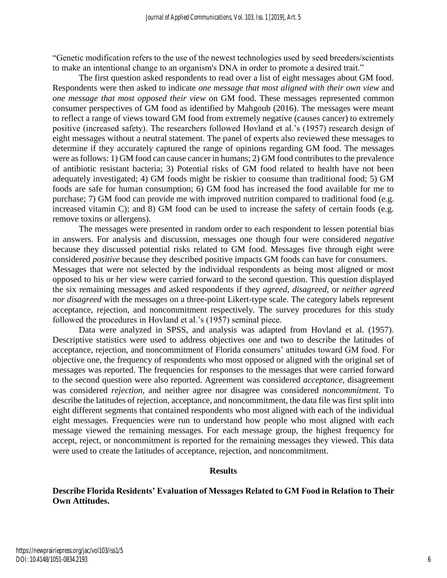"Genetic modification refers to the use of the newest technologies used by seed breeders/scientists to make an intentional change to an organism's DNA in order to promote a desired trait."

The first question asked respondents to read over a list of eight messages about GM food. Respondents were then asked to indicate *one message that most aligned with their own view* and *one message that most opposed their view* on GM food. These messages represented common consumer perspectives of GM food as identified by Mahgoub (2016). The messages were meant to reflect a range of views toward GM food from extremely negative (causes cancer) to extremely positive (increased safety). The researchers followed Hovland et al.'s (1957) research design of eight messages without a neutral statement. The panel of experts also reviewed these messages to determine if they accurately captured the range of opinions regarding GM food. The messages were as follows: 1) GM food can cause cancer in humans; 2) GM food contributes to the prevalence of antibiotic resistant bacteria; 3) Potential risks of GM food related to health have not been adequately investigated; 4) GM foods might be riskier to consume than traditional food; 5) GM foods are safe for human consumption; 6) GM food has increased the food available for me to purchase; 7) GM food can provide me with improved nutrition compared to traditional food (e.g. increased vitamin C); and 8) GM food can be used to increase the safety of certain foods (e.g. remove toxins or allergens).

The messages were presented in random order to each respondent to lessen potential bias in answers. For analysis and discussion, messages one though four were considered *negative*  because they discussed potential risks related to GM food. Messages five through eight were considered *positive* because they described positive impacts GM foods can have for consumers. Messages that were not selected by the individual respondents as being most aligned or most opposed to his or her view were carried forward to the second question. This question displayed the six remaining messages and asked respondents if they *agreed*, *disagreed*, or *neither agreed nor disagreed* with the messages on a three-point Likert-type scale. The category labels represent acceptance, rejection, and noncommitment respectively. The survey procedures for this study followed the procedures in Hovland et al.'s (1957) seminal piece.

Data were analyzed in SPSS, and analysis was adapted from Hovland et al. (1957). Descriptive statistics were used to address objectives one and two to describe the latitudes of acceptance, rejection, and noncommitment of Florida consumers' attitudes toward GM food. For objective one, the frequency of respondents who most opposed or aligned with the original set of messages was reported. The frequencies for responses to the messages that were carried forward to the second question were also reported. Agreement was considered *acceptance,* disagreement was considered *rejection,* and neither agree nor disagree was considered *noncommitment.* To describe the latitudes of rejection, acceptance, and noncommitment, the data file was first split into eight different segments that contained respondents who most aligned with each of the individual eight messages. Frequencies were run to understand how people who most aligned with each message viewed the remaining messages. For each message group, the highest frequency for accept, reject, or noncommitment is reported for the remaining messages they viewed. This data were used to create the latitudes of acceptance, rejection, and noncommitment.

#### **Results**

# **Describe Florida Residents' Evaluation of Messages Related to GM Food in Relation to Their Own Attitudes.**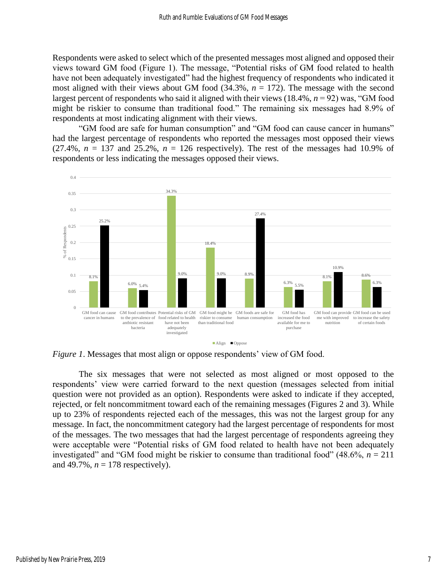Respondents were asked to select which of the presented messages most aligned and opposed their views toward GM food (Figure 1). The message, "Potential risks of GM food related to health have not been adequately investigated" had the highest frequency of respondents who indicated it most aligned with their views about GM food  $(34.3\%, n = 172)$ . The message with the second largest percent of respondents who said it aligned with their views (18.4%, *n* = 92) was, "GM food might be riskier to consume than traditional food." The remaining six messages had 8.9% of respondents at most indicating alignment with their views.

"GM food are safe for human consumption" and "GM food can cause cancer in humans" had the largest percentage of respondents who reported the messages most opposed their views  $(27.4\%, n = 137 \text{ and } 25.2\%, n = 126 \text{ respectively})$ . The rest of the messages had 10.9% of respondents or less indicating the messages opposed their views.



*Figure 1*. Messages that most align or oppose respondents' view of GM food.

The six messages that were not selected as most aligned or most opposed to the respondents' view were carried forward to the next question (messages selected from initial question were not provided as an option). Respondents were asked to indicate if they accepted, rejected, or felt noncommitment toward each of the remaining messages (Figures 2 and 3). While up to 23% of respondents rejected each of the messages, this was not the largest group for any message. In fact, the noncommitment category had the largest percentage of respondents for most of the messages. The two messages that had the largest percentage of respondents agreeing they were acceptable were "Potential risks of GM food related to health have not been adequately investigated" and "GM food might be riskier to consume than traditional food"  $(48.6\%, n = 211)$ and 49.7%,  $n = 178$  respectively).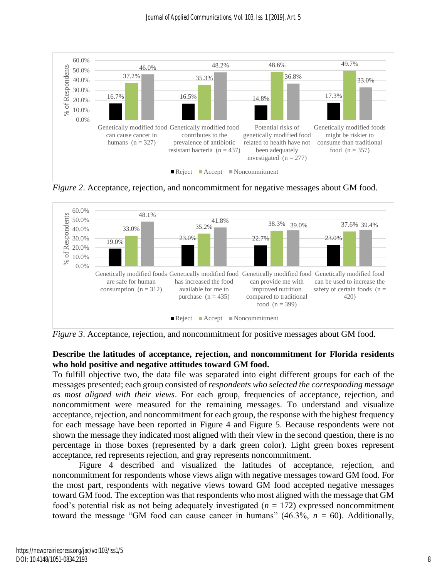

*Figure 2.* Acceptance, rejection, and noncommitment for negative messages about GM food.



*Figure 3.* Acceptance, rejection, and noncommitment for positive messages about GM food.

# **Describe the latitudes of acceptance, rejection, and noncommitment for Florida residents who hold positive and negative attitudes toward GM food.**

To fulfill objective two, the data file was separated into eight different groups for each of the messages presented; each group consisted of *respondents who selected the corresponding message as most aligned with their views*. For each group, frequencies of acceptance, rejection, and noncommitment were measured for the remaining messages. To understand and visualize acceptance, rejection, and noncommitment for each group, the response with the highest frequency for each message have been reported in Figure 4 and Figure 5. Because respondents were not shown the message they indicated most aligned with their view in the second question, there is no percentage in those boxes (represented by a dark green color). Light green boxes represent acceptance, red represents rejection, and gray represents noncommitment.

Figure 4 described and visualized the latitudes of acceptance, rejection, and noncommitment for respondents whose views align with negative messages toward GM food. For the most part, respondents with negative views toward GM food accepted negative messages toward GM food. The exception was that respondents who most aligned with the message that GM food's potential risk as not being adequately investigated  $(n = 172)$  expressed noncommitment toward the message "GM food can cause cancer in humans"  $(46.3\%, n = 60)$ . Additionally,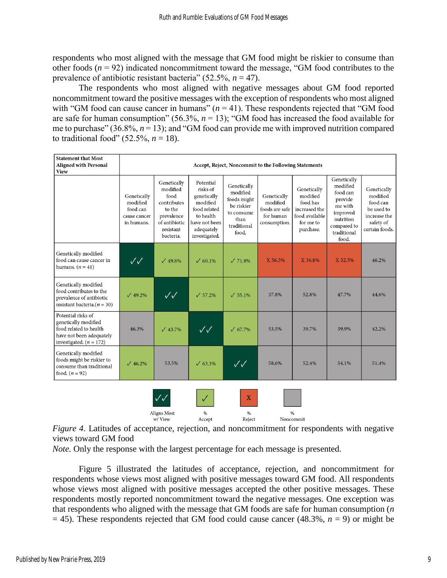respondents who most aligned with the message that GM food might be riskier to consume than other foods (*n* = 92) indicated noncommitment toward the message, "GM food contributes to the prevalence of antibiotic resistant bacteria" (52.5%, *n* = 47).

The respondents who most aligned with negative messages about GM food reported noncommitment toward the positive messages with the exception of respondents who most aligned with "GM food can cause cancer in humans"  $(n = 41)$ . These respondents rejected that "GM food are safe for human consumption" (56.3%, *n* = 13); "GM food has increased the food available for me to purchase"  $(36.8\%, n=13)$ ; and "GM food can provide me with improved nutrition compared to traditional food"  $(52.5\%, n = 18)$ .

| <b>Statement that Most</b><br><b>Aligned with Personal</b><br><b>View</b>                                                     | Accept, Reject, Noncommit to the Following Statements             |                                                                                                                   |                                                                                                                               |                                                                                                    |                                                                        |                                                                                                  |                                                                                                                           |                                                                                                  |
|-------------------------------------------------------------------------------------------------------------------------------|-------------------------------------------------------------------|-------------------------------------------------------------------------------------------------------------------|-------------------------------------------------------------------------------------------------------------------------------|----------------------------------------------------------------------------------------------------|------------------------------------------------------------------------|--------------------------------------------------------------------------------------------------|---------------------------------------------------------------------------------------------------------------------------|--------------------------------------------------------------------------------------------------|
|                                                                                                                               | Genetically<br>modified<br>food can<br>cause cancer<br>in humans. | Genetically<br>modified<br>food<br>contributes<br>to the<br>prevalence<br>of antibiotic<br>resistant<br>bacteria. | Potential<br>risks of<br>genetically<br>modified<br>food related<br>to health<br>have not been<br>adequately<br>investigated. | Genetically<br>modified<br>foods might<br>be riskier<br>to consume<br>than<br>traditional<br>food. | Genetically<br>modified<br>foods are safe<br>for human<br>consumption. | Genetically<br>modified<br>food has<br>increased the<br>food available<br>for me to<br>purchase. | Genetically<br>modified<br>food can<br>provide<br>me with<br>improved<br>nutrition<br>compared to<br>traditional<br>food. | Genetically<br>modified<br>food can<br>be used to<br>increase the<br>safety of<br>certain foods. |
| Genetically modified<br>food can cause cancer in<br>humans. $(n = 41)$                                                        | $\checkmark\checkmark$                                            | $\sqrt{49.8\%}$                                                                                                   | $\sqrt{60.1\%}$                                                                                                               | $\sqrt{71.8\%}$                                                                                    | X 56.3%                                                                | X 36.8%                                                                                          | X 52.5%                                                                                                                   | 46.2%                                                                                            |
| Genetically modified<br>food contributes to the<br>prevalence of antibiotic<br>resistant bacteria. $(n = 30)$                 | $\sqrt{49.2\%}$                                                   | $\checkmark\checkmark$                                                                                            | $\sqrt{57.2\%}$                                                                                                               | $\sqrt{55.1\%}$                                                                                    | 37.8%                                                                  | 52.8%                                                                                            | 47.7%                                                                                                                     | 44.6%                                                                                            |
| Potential risks of<br>genetically modified<br>food related to health<br>have not been adequately<br>investigated. $(n = 172)$ | 46.3%                                                             | $\sqrt{43.7\%}$                                                                                                   | $\sqrt{\sqrt{2}}$                                                                                                             | $\sqrt{67.7\%}$                                                                                    | 53.5%                                                                  | 39.7%                                                                                            | 39.9%                                                                                                                     | 42.2%                                                                                            |
| Genetically modified<br>foods might be riskier to<br>consume than traditional<br>food. $(n = 92)$                             | $\sqrt{46.2\%}$                                                   | 53.5%                                                                                                             | $\sqrt{63.3\%}$                                                                                                               | $\checkmark\checkmark$                                                                             | 58.6%                                                                  | 52.4%                                                                                            | 54.1%                                                                                                                     | 51.4%                                                                                            |
|                                                                                                                               |                                                                   | $\cal{U}$ $\cal{U}$                                                                                               |                                                                                                                               | X                                                                                                  |                                                                        |                                                                                                  |                                                                                                                           |                                                                                                  |

*Figure 4*. Latitudes of acceptance, rejection, and noncommitment for respondents with negative views toward GM food

 $\frac{9}{6}$ 

Reject

 $\frac{9}{6}$ 

Noncommit

*Note.* Only the response with the largest percentage for each message is presented.

 $\frac{9}{6}$ 

Accept

Aligns Most

w/View

Figure 5 illustrated the latitudes of acceptance, rejection, and noncommitment for respondents whose views most aligned with positive messages toward GM food. All respondents whose views most aligned with positive messages accepted the other positive messages. These respondents mostly reported noncommitment toward the negative messages. One exception was that respondents who aligned with the message that GM foods are safe for human consumption (*n*  $= 45$ ). These respondents rejected that GM food could cause cancer (48.3%,  $n = 9$ ) or might be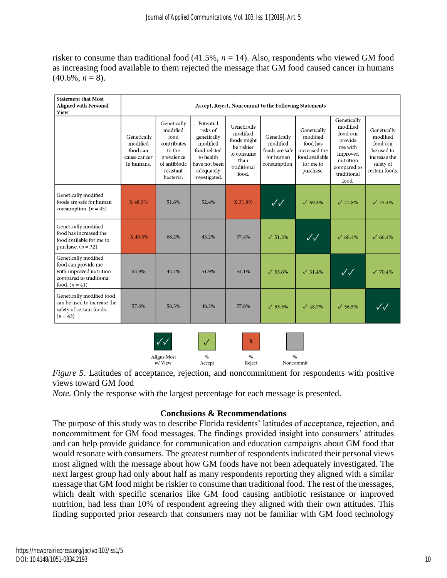risker to consume than traditional food (41.5%, *n* = 14). Also, respondents who viewed GM food as increasing food available to them rejected the message that GM food caused cancer in humans  $(40.6\%, n=8)$ .

| <b>Statement that Most</b><br><b>Aligned with Personal</b><br><b>View</b>                                           | Accept, Reject, Noncommit to the Following Statements             |                                                                                                                   |                                                                                                                               |                                                                                                    |                                                                        |                                                                                                  |                                                                                                                           |                                                                                                  |
|---------------------------------------------------------------------------------------------------------------------|-------------------------------------------------------------------|-------------------------------------------------------------------------------------------------------------------|-------------------------------------------------------------------------------------------------------------------------------|----------------------------------------------------------------------------------------------------|------------------------------------------------------------------------|--------------------------------------------------------------------------------------------------|---------------------------------------------------------------------------------------------------------------------------|--------------------------------------------------------------------------------------------------|
|                                                                                                                     | Genetically<br>modified<br>food can<br>cause cancer<br>in humans. | Genetically<br>modified<br>food<br>contributes<br>to the<br>prevalence<br>of antibiotic<br>resistant<br>bacteria. | Potential<br>risks of<br>genetically<br>modified<br>food related<br>to health<br>have not been<br>adequately<br>investigated. | Genetically<br>modified<br>foods might<br>be riskier<br>to consume<br>than<br>traditional<br>food. | Genetically<br>modified<br>foods are safe<br>for human<br>consumption. | Genetically<br>modified<br>food has<br>increased the<br>food available<br>for me to<br>purchase. | Genetically<br>modified<br>food can<br>provide<br>me with<br>improved<br>nutrition<br>compared to<br>traditional<br>food. | Genetically<br>modified<br>food can<br>be used to<br>increase the<br>safety of<br>certain foods. |
| Genetically modified<br>foods are safe for human<br>consumption. $(n = 45)$                                         | X 48.3%                                                           | 51.6%                                                                                                             | 52.4%                                                                                                                         | X 31.8%                                                                                            | $\sqrt{\sqrt{2}}$                                                      | $\sqrt{69.4\%}$                                                                                  | $\sqrt{72.8\%}$                                                                                                           | $\sqrt{75.4\%}$                                                                                  |
| Genetically modified<br>food has increased the<br>food available for me to<br>purchase. $(n = 32)$                  | X 40.6%                                                           | 68.2%                                                                                                             | 43.2%                                                                                                                         | 37.4%                                                                                              | $\sqrt{51.3\%}$                                                        | $\sqrt{\sqrt{2}}$                                                                                | $\sqrt{68.4\%}$                                                                                                           | $\sqrt{66.4\%}$                                                                                  |
| Genetically modified<br>food can provide me<br>with improved nutrition<br>compared to traditional<br>food. $(n=41)$ | 44.9%                                                             | 44.7%                                                                                                             | 51.9%                                                                                                                         | 54.1%                                                                                              | $\sqrt{55.6\%}$                                                        | $\sqrt{51.4\%}$                                                                                  | $\sqrt{\sqrt{2}}$                                                                                                         | $\sqrt{70.4\%}$                                                                                  |
| Genetically modified food<br>can be used to increase the<br>safety of certain foods.<br>$(n = 43)$                  | 57.6%                                                             | 58.3%                                                                                                             | 48.3%                                                                                                                         | 57.8%                                                                                              | $\sqrt{53.5\%}$                                                        | $\sqrt{48.7\%}$                                                                                  | $\sqrt{56.5\%}$                                                                                                           | $\checkmark\checkmark$                                                                           |
|                                                                                                                     |                                                                   |                                                                                                                   |                                                                                                                               | X                                                                                                  |                                                                        |                                                                                                  |                                                                                                                           |                                                                                                  |

Aligns Most  $\frac{9}{6}$  $\%$  $\frac{0}{6}$ Reject Noncommit w/View Accept

*Figure 5*. Latitudes of acceptance, rejection, and noncommitment for respondents with positive views toward GM food

*Note*. Only the response with the largest percentage for each message is presented.

# **Conclusions & Recommendations**

The purpose of this study was to describe Florida residents' latitudes of acceptance, rejection, and noncommitment for GM food messages. The findings provided insight into consumers' attitudes and can help provide guidance for communication and education campaigns about GM food that would resonate with consumers. The greatest number of respondents indicated their personal views most aligned with the message about how GM foods have not been adequately investigated. The next largest group had only about half as many respondents reporting they aligned with a similar message that GM food might be riskier to consume than traditional food. The rest of the messages, which dealt with specific scenarios like GM food causing antibiotic resistance or improved nutrition, had less than 10% of respondent agreeing they aligned with their own attitudes. This finding supported prior research that consumers may not be familiar with GM food technology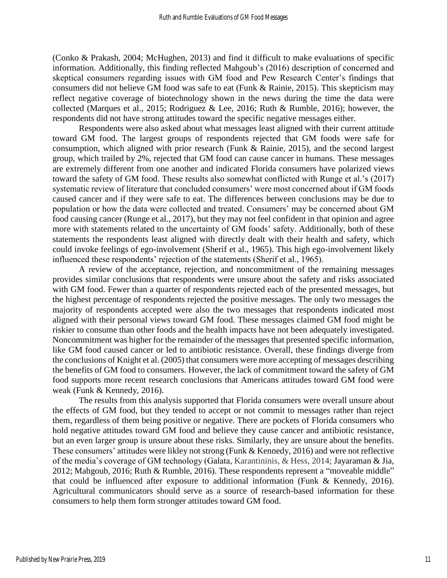(Conko & Prakash, 2004; McHughen, 2013) and find it difficult to make evaluations of specific information. Additionally, this finding reflected Mahgoub's (2016) description of concerned and skeptical consumers regarding issues with GM food and Pew Research Center's findings that consumers did not believe GM food was safe to eat (Funk & Rainie, 2015). This skepticism may reflect negative coverage of biotechnology shown in the news during the time the data were collected (Marques et al., 2015; Rodriguez & Lee, 2016; Ruth & Rumble, 2016); however, the respondents did not have strong attitudes toward the specific negative messages either.

Respondents were also asked about what messages least aligned with their current attitude toward GM food. The largest groups of respondents rejected that GM foods were safe for consumption, which aligned with prior research (Funk & Rainie, 2015), and the second largest group, which trailed by 2%, rejected that GM food can cause cancer in humans. These messages are extremely different from one another and indicated Florida consumers have polarized views toward the safety of GM food. These results also somewhat conflicted with Runge et al.'s (2017) systematic review of literature that concluded consumers' were most concerned about if GM foods caused cancer and if they were safe to eat. The differences between conclusions may be due to population or how the data were collected and treated. Consumers' may be concerned about GM food causing cancer (Runge et al., 2017), but they may not feel confident in that opinion and agree more with statements related to the uncertainty of GM foods' safety. Additionally, both of these statements the respondents least aligned with directly dealt with their health and safety, which could invoke feelings of ego-involvement (Sherif et al., 1965). This high ego-involvement likely influenced these respondents' rejection of the statements (Sherif et al., 1965).

A review of the acceptance, rejection, and noncommitment of the remaining messages provides similar conclusions that respondents were unsure about the safety and risks associated with GM food. Fewer than a quarter of respondents rejected each of the presented messages, but the highest percentage of respondents rejected the positive messages. The only two messages the majority of respondents accepted were also the two messages that respondents indicated most aligned with their personal views toward GM food. These messages claimed GM food might be riskier to consume than other foods and the health impacts have not been adequately investigated. Noncommitment was higher for the remainder of the messages that presented specific information, like GM food caused cancer or led to antibiotic resistance. Overall, these findings diverge from the conclusions of Knight et al. (2005) that consumers were more accepting of messages describing the benefits of GM food to consumers. However, the lack of commitment toward the safety of GM food supports more recent research conclusions that Americans attitudes toward GM food were weak (Funk & Kennedy, 2016).

The results from this analysis supported that Florida consumers were overall unsure about the effects of GM food, but they tended to accept or not commit to messages rather than reject them, regardless of them being positive or negative. There are pockets of Florida consumers who hold negative attitudes toward GM food and believe they cause cancer and antibiotic resistance, but an even larger group is unsure about these risks. Similarly, they are unsure about the benefits. These consumers' attitudes were likley not strong (Funk & Kennedy, 2016) and were not reflective of the media's coverage of GM technology (Galata, Karantininis, & Hess, 2014; Jayaraman & Jia, 2012; Mahgoub, 2016; Ruth & Rumble, 2016). These respondents represent a "moveable middle" that could be influenced after exposure to additional information (Funk & Kennedy, 2016). Agricultural communicators should serve as a source of research-based information for these consumers to help them form stronger attitudes toward GM food.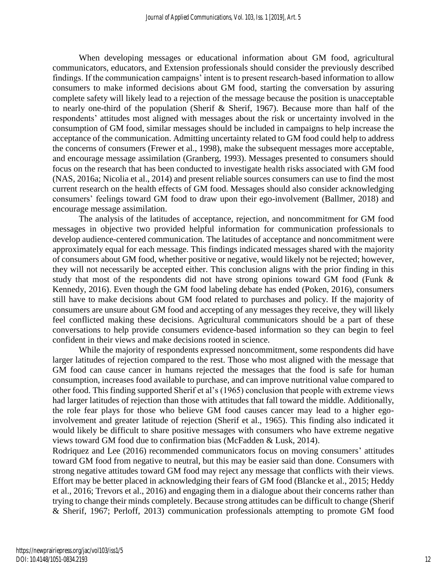When developing messages or educational information about GM food, agricultural communicators, educators, and Extension professionals should consider the previously described findings. If the communication campaigns' intent is to present research-based information to allow consumers to make informed decisions about GM food, starting the conversation by assuring complete safety will likely lead to a rejection of the message because the position is unacceptable to nearly one-third of the population (Sherif & Sherif, 1967). Because more than half of the respondents' attitudes most aligned with messages about the risk or uncertainty involved in the consumption of GM food, similar messages should be included in campaigns to help increase the acceptance of the communication. Admitting uncertainty related to GM food could help to address the concerns of consumers (Frewer et al., 1998), make the subsequent messages more acceptable, and encourage message assimilation (Granberg, 1993). Messages presented to consumers should focus on the research that has been conducted to investigate health risks associated with GM food (NAS, 2016a; Nicolia et al., 2014) and present reliable sources consumers can use to find the most current research on the health effects of GM food. Messages should also consider acknowledging consumers' feelings toward GM food to draw upon their ego-involvement (Ballmer, 2018) and encourage message assimilation.

The analysis of the latitudes of acceptance, rejection, and noncommitment for GM food messages in objective two provided helpful information for communication professionals to develop audience-centered communication. The latitudes of acceptance and noncommitment were approximately equal for each message. This findings indicated messages shared with the majority of consumers about GM food, whether positive or negative, would likely not be rejected; however, they will not necessarily be accepted either. This conclusion aligns with the prior finding in this study that most of the respondents did not have strong opinions toward GM food (Funk & Kennedy, 2016). Even though the GM food labeling debate has ended (Poken, 2016), consumers still have to make decisions about GM food related to purchases and policy. If the majority of consumers are unsure about GM food and accepting of any messages they receive, they will likely feel conflicted making these decisions. Agricultural communicators should be a part of these conversations to help provide consumers evidence-based information so they can begin to feel confident in their views and make decisions rooted in science.

While the majority of respondents expressed noncommitment, some respondents did have larger latitudes of rejection compared to the rest. Those who most aligned with the message that GM food can cause cancer in humans rejected the messages that the food is safe for human consumption, increases food available to purchase, and can improve nutritional value compared to other food. This finding supported Sherif et al's (1965) conclusion that people with extreme views had larger latitudes of rejection than those with attitudes that fall toward the middle. Additionally, the role fear plays for those who believe GM food causes cancer may lead to a higher egoinvolvement and greater latitude of rejection (Sherif et al., 1965). This finding also indicated it would likely be difficult to share positive messages with consumers who have extreme negative views toward GM food due to confirmation bias (McFadden & Lusk, 2014).

Rodriquez and Lee (2016) recommended communicators focus on moving consumers' attitudes toward GM food from negative to neutral, but this may be easier said than done. Consumers with strong negative attitudes toward GM food may reject any message that conflicts with their views. Effort may be better placed in acknowledging their fears of GM food (Blancke et al., 2015; Heddy et al., 2016; Trevors et al., 2016) and engaging them in a dialogue about their concerns rather than trying to change their minds completely. Because strong attitudes can be difficult to change (Sherif & Sherif, 1967; Perloff, 2013) communication professionals attempting to promote GM food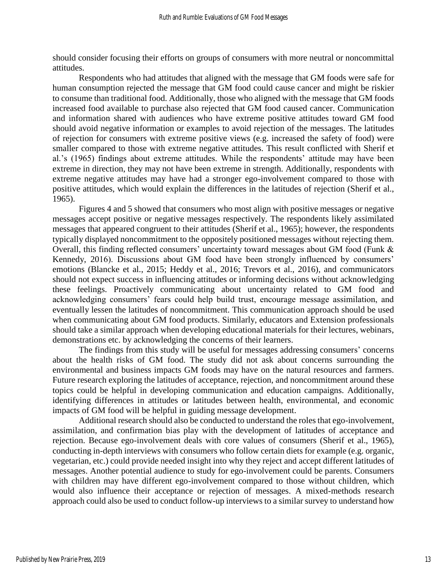should consider focusing their efforts on groups of consumers with more neutral or noncommittal attitudes.

Respondents who had attitudes that aligned with the message that GM foods were safe for human consumption rejected the message that GM food could cause cancer and might be riskier to consume than traditional food. Additionally, those who aligned with the message that GM foods increased food available to purchase also rejected that GM food caused cancer. Communication and information shared with audiences who have extreme positive attitudes toward GM food should avoid negative information or examples to avoid rejection of the messages. The latitudes of rejection for consumers with extreme positive views (e.g. increased the safety of food) were smaller compared to those with extreme negative attitudes. This result conflicted with Sherif et al.'s (1965) findings about extreme attitudes. While the respondents' attitude may have been extreme in direction, they may not have been extreme in strength. Additionally, respondents with extreme negative attitudes may have had a stronger ego-involvement compared to those with positive attitudes, which would explain the differences in the latitudes of rejection (Sherif et al., 1965).

Figures 4 and 5 showed that consumers who most align with positive messages or negative messages accept positive or negative messages respectively. The respondents likely assimilated messages that appeared congruent to their attitudes (Sherif et al., 1965); however, the respondents typically displayed noncommitment to the oppositely positioned messages without rejecting them. Overall, this finding reflected consumers' uncertainty toward messages about GM food (Funk & Kennedy, 2016). Discussions about GM food have been strongly influenced by consumers' emotions (Blancke et al., 2015; Heddy et al., 2016; Trevors et al., 2016), and communicators should not expect success in influencing attitudes or informing decisions without acknowledging these feelings. Proactively communicating about uncertainty related to GM food and acknowledging consumers' fears could help build trust, encourage message assimilation, and eventually lessen the latitudes of noncommitment. This communication approach should be used when communicating about GM food products. Similarly, educators and Extension professionals should take a similar approach when developing educational materials for their lectures, webinars, demonstrations etc. by acknowledging the concerns of their learners.

The findings from this study will be useful for messages addressing consumers' concerns about the health risks of GM food. The study did not ask about concerns surrounding the environmental and business impacts GM foods may have on the natural resources and farmers. Future research exploring the latitudes of acceptance, rejection, and noncommitment around these topics could be helpful in developing communication and education campaigns. Additionally, identifying differences in attitudes or latitudes between health, environmental, and economic impacts of GM food will be helpful in guiding message development.

Additional research should also be conducted to understand the roles that ego-involvement, assimilation, and confirmation bias play with the development of latitudes of acceptance and rejection. Because ego-involvement deals with core values of consumers (Sherif et al., 1965), conducting in-depth interviews with consumers who follow certain diets for example (e.g. organic, vegetarian, etc.) could provide needed insight into why they reject and accept different latitudes of messages. Another potential audience to study for ego-involvement could be parents. Consumers with children may have different ego-involvement compared to those without children, which would also influence their acceptance or rejection of messages. A mixed-methods research approach could also be used to conduct follow-up interviews to a similar survey to understand how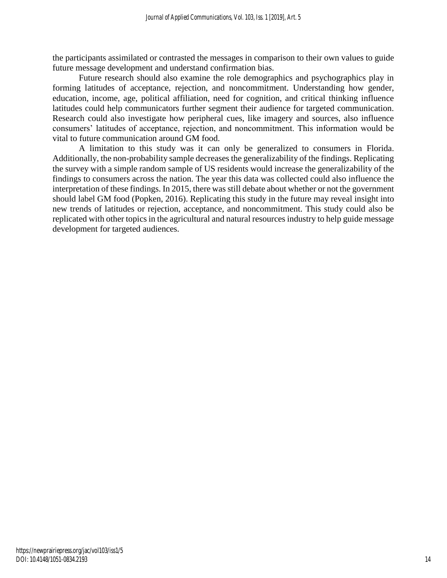the participants assimilated or contrasted the messages in comparison to their own values to guide future message development and understand confirmation bias.

Future research should also examine the role demographics and psychographics play in forming latitudes of acceptance, rejection, and noncommitment. Understanding how gender, education, income, age, political affiliation, need for cognition, and critical thinking influence latitudes could help communicators further segment their audience for targeted communication. Research could also investigate how peripheral cues, like imagery and sources, also influence consumers' latitudes of acceptance, rejection, and noncommitment. This information would be vital to future communication around GM food.

A limitation to this study was it can only be generalized to consumers in Florida. Additionally, the non-probability sample decreases the generalizability of the findings. Replicating the survey with a simple random sample of US residents would increase the generalizability of the findings to consumers across the nation. The year this data was collected could also influence the interpretation of these findings. In 2015, there was still debate about whether or not the government should label GM food (Popken, 2016). Replicating this study in the future may reveal insight into new trends of latitudes or rejection, acceptance, and noncommitment. This study could also be replicated with other topics in the agricultural and natural resources industry to help guide message development for targeted audiences.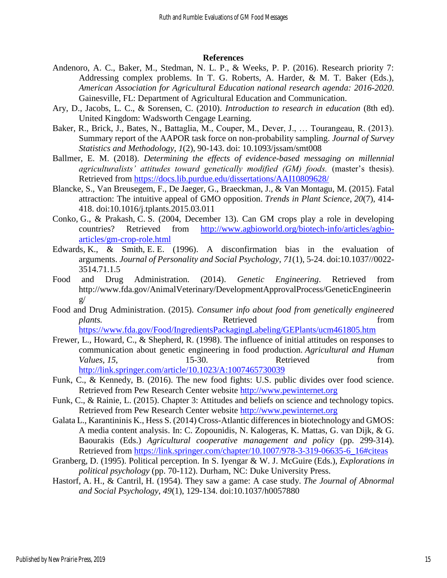#### **References**

- Andenoro, A. C., Baker, M., Stedman, N. L. P., & Weeks, P. P. (2016). Research priority 7: Addressing complex problems. In T. G. Roberts, A. Harder, & M. T. Baker (Eds.), *American Association for Agricultural Education national research agenda: 2016-2020*. Gainesville, FL: Department of Agricultural Education and Communication.
- Ary, D., Jacobs, L. C., & Sorensen, C. (2010). *Introduction to research in education* (8th ed). United Kingdom: Wadsworth Cengage Learning.
- Baker, R., Brick, J., Bates, N., Battaglia, M., Couper, M., Dever, J., … Tourangeau, R. (2013). Summary report of the AAPOR task force on non-probability sampling. *Journal of Survey Statistics and Methodology*, *1*(2), 90-143. doi: 10.1093/jssam/smt008
- Ballmer, E. M. (2018). *Determining the effects of evidence-based messaging on millennial agriculturalists' attitudes toward genetically modified (GM) foods.* (master's thesis). Retrieved from<https://docs.lib.purdue.edu/dissertations/AAI10809628/>
- Blancke, S., Van Breusegem, F., De Jaeger, G., Braeckman, J., & Van Montagu, M. (2015). Fatal attraction: The intuitive appeal of GMO opposition. *Trends in Plant Science*, *20*(7), 414- 418. doi:10.1016/j.tplants.2015.03.011
- Conko, G., & Prakash, C. S. (2004, December 13). Can GM crops play a role in developing countries? Retrieved from [http://www.agbioworld.org/biotech-info/articles/agbio](http://www.agbioworld.org/biotech-info/articles/agbio-articles/gm-crop-role.html)[articles/gm-crop-role.html](http://www.agbioworld.org/biotech-info/articles/agbio-articles/gm-crop-role.html)
- Edwards, K., & Smith, E. E. (1996). A disconfirmation bias in the evaluation of arguments. *Journal of Personality and Social Psychology*, *71*(1), 5-24. doi:10.1037//0022- 3514.71.1.5
- Food and Drug Administration. (2014). *Genetic Engineering*. Retrieved from [http://www.fda.gov/AnimalVeterinary/DevelopmentApprovalProcess/GeneticEngineerin](http://www.fda.gov/AnimalVeterinary/DevelopmentApprovalProcess/GeneticEngineering/) [g/](http://www.fda.gov/AnimalVeterinary/DevelopmentApprovalProcess/GeneticEngineering/)
- Food and Drug Administration. (2015). *Consumer info about food from genetically engineered plants.* **Retrieved heating** *from* <https://www.fda.gov/Food/IngredientsPackagingLabeling/GEPlants/ucm461805.htm>
- Frewer, L., Howard, C., & Shepherd, R. (1998). The influence of initial attitudes on responses to communication about genetic engineering in food production. *Agricultural and Human Values,* 15, 15-30. Retrieved from <http://link.springer.com/article/10.1023/A:1007465730039>
- Funk, C., & Kennedy, B. (2016). The new food fights: U.S. public divides over food science. Retrieved from Pew Research Center website [http://www.pewinternet.org](http://www.pewinternet.org/)
- Funk, C., & Rainie, L. (2015). Chapter 3: Attitudes and beliefs on science and technology topics. Retrieved from Pew Research Center website [http://www.pewinternet.org](http://www.pewinternet.org/)
- Galata L., Karantininis K., Hess S. (2014) Cross-Atlantic differences in biotechnology and GMOS: A media content analysis. In: C. Zopounidis, N. Kalogeras, K. Mattas, G. van Dijk, & G. Baourakis (Eds.) *Agricultural cooperative management and policy* (pp. 299-314). Retrieved from [https://link.springer.com/chapter/10.1007/978-3-319-06635-6\\_16#citeas](https://link.springer.com/chapter/10.1007/978-3-319-06635-6_16#citeas)
- Granberg, D. (1995). Political perception. In S. Iyengar & W. J. McGuire (Eds.), *Explorations in political psychology* (pp. 70-112). Durham, NC: Duke University Press.
- Hastorf, A. H., & Cantril, H. (1954). They saw a game: A case study. *The Journal of Abnormal and Social Psychology*, *49*(1), 129-134. doi:10.1037/h0057880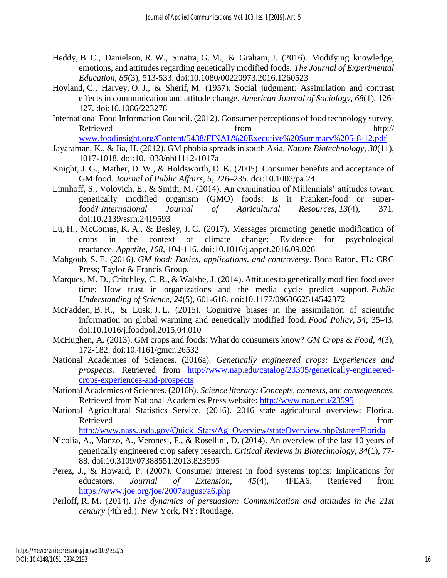- Heddy, B. C., Danielson, R. W., Sinatra, G. M., & Graham, J. (2016). Modifying knowledge, emotions, and attitudes regarding genetically modified foods. *The Journal of Experimental Education*, *85*(3), 513-533. doi:10.1080/00220973.2016.1260523
- Hovland, C., Harvey, O. J., & Sherif, M. (1957). Social judgment: Assimilation and contrast effects in communication and attitude change. *American Journal of Sociology*, *68*(1), 126- 127. doi:10.1086/223278
- International Food Information Council. (2012). Consumer perceptions of food technology survey. Retrieved from http:// [www.foodinsight.org/Content/5438/FINAL%20Executive%20Summary%205-8-12.pdf](http://www.foodinsight.org/Content/5438/FINAL%20Executive%20Summary%205-8-12.pdf)
- Jayaraman, K., & Jia, H. (2012). GM phobia spreads in south Asia. *Nature Biotechnology*, *30*(11), 1017-1018. doi:10.1038/nbt1112-1017a
- Knight, J. G., Mather, D. W., & Holdsworth, D. K. (2005). Consumer benefits and acceptance of GM food. *Journal of Public Affairs*, *5*, 226–235. doi:10.1002/pa.24
- Linnhoff, S., Volovich, E., & Smith, M. (2014). An examination of Millennials' attitudes toward genetically modified organism (GMO) foods: Is it Franken-food or superfood? *International Journal of Agricultural Resources*, *13*(4), 371. doi:10.2139/ssrn.2419593
- Lu, H., McComas, K. A., & Besley, J. C. (2017). Messages promoting genetic modification of crops in the context of climate change: Evidence for psychological reactance. *Appetite*, *108*, 104-116. doi:10.1016/j.appet.2016.09.026
- Mahgoub, S. E. (2016). *GM food: Basics, applications, and controversy*. Boca Raton, FL: CRC Press; Taylor & Francis Group.
- Marques, M. D., Critchley, C. R., & Walshe, J. (2014). Attitudes to genetically modified food over time: How trust in organizations and the media cycle predict support. *Public Understanding of Science*, *24*(5), 601-618. doi:10.1177/0963662514542372
- McFadden, B. R., & Lusk, J. L. (2015). Cognitive biases in the assimilation of scientific information on global warming and genetically modified food. *Food Policy, 54*, 35-43. doi:10.1016/j.foodpol.2015.04.010
- McHughen, A. (2013). GM crops and foods: What do consumers know? *GM Crops & Food*, *4*(3), 172-182. doi:10.4161/gmcr.26532
- National Academies of Sciences. (2016a). *Genetically engineered crops: Experiences and prospects.* Retrieved from [http://www.nap.edu/catalog/23395/genetically-engineered](http://www.nap.edu/catalog/23395/genetically-engineered-crops-experiences-and-prospects)[crops-experiences-and-prospects](http://www.nap.edu/catalog/23395/genetically-engineered-crops-experiences-and-prospects)
- National Academies of Sciences. (2016b). *Science literacy: Concepts, contexts,* and *consequences*. Retrieved from National Academies Press website:<http://www.nap.edu/23595>
- National Agricultural Statistics Service. (2016). 2016 state agricultural overview: Florida. Retrieved from the state of the state of the state of the state of the state of the state of the state of the state of the state of the state of the state of the state of the state of the state of the state of the state of

[http://www.nass.usda.gov/Quick\\_Stats/Ag\\_Overview/stateOverview.php?state=Florida](http://www.nass.usda.gov/Quick_Stats/Ag_Overview/stateOverview.php?state=Florida)

- Nicolia, A., Manzo, A., Veronesi, F., & Rosellini, D. (2014). An overview of the last 10 years of genetically engineered crop safety research. *Critical Reviews in Biotechnology, 34*(1), 77- 88. doi:10.3109/07388551.2013.823595
- Perez, J., & Howard, P. (2007). Consumer interest in food systems topics: Implications for educators. *Journal of Extension, 45*(4), 4FEA6. Retrieved from <https://www.joe.org/joe/2007august/a6.php>
- Perloff, R. M. (2014). *The dynamics of persuasion: Communication and attitudes in the 21st century* (4th ed.). New York, NY: Routlage.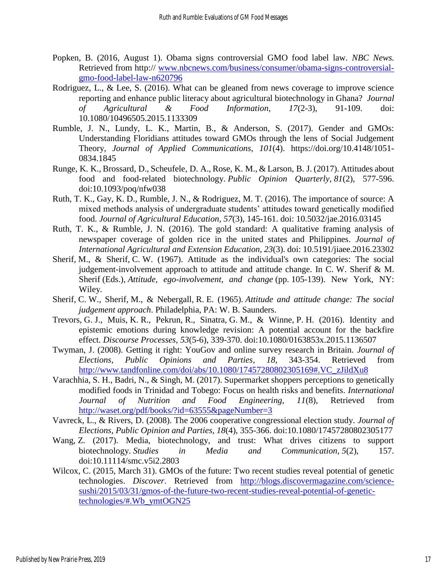- Popken, B. (2016, August 1). Obama signs controversial GMO food label law. *NBC News.* Retrieved from http:// [www.nbcnews.com/business/consumer/obama-signs-controversial](http://www.nbcnews.com/business/consumer/obama-signs-controversial-gmo-food-label-law-n620796)[gmo-food-label-law-n620796](http://www.nbcnews.com/business/consumer/obama-signs-controversial-gmo-food-label-law-n620796)
- Rodriguez, L., & Lee, S. (2016). What can be gleaned from news coverage to improve science reporting and enhance public literacy about agricultural biotechnology in Ghana? *Journal of Agricultural & Food Information, 17*(2-3), 91-109. doi: 10.1080/10496505.2015.1133309
- Rumble, J. N., Lundy, L. K., Martin, B., & Anderson, S. (2017). Gender and GMOs: Understanding Floridians attitudes toward GMOs through the lens of Social Judgement Theory, *Journal of Applied Communications, 101*(4). [https://doi.org/10.4148/1051-](https://doi.org/10.4148/1051-0834.1845) [0834.1845](https://doi.org/10.4148/1051-0834.1845)
- Runge, K. K., Brossard, D., Scheufele, D. A., Rose, K. M., & Larson, B. J. (2017). Attitudes about food and food-related biotechnology. *Public Opinion Quarterly*, *81*(2), 577-596. doi:10.1093/poq/nfw038
- Ruth, T. K., Gay, K. D., Rumble, J. N., & Rodriguez, M. T. (2016). The importance of source: A mixed methods analysis of undergraduate students' attitudes toward genetically modified food. *Journal of Agricultural Education, 57*(3), 145-161. doi: 10.5032/jae.2016.03145
- Ruth, T. K., & Rumble, J. N. (2016). The gold standard: A qualitative framing analysis of newspaper coverage of golden rice in the united states and Philippines. *Journal of International Agricultural and Extension Education, 23*(3). doi: 10.5191/jiaee.2016.23302
- Sherif, M., & Sherif, C. W. (1967). Attitude as the individual's own categories: The social judgement-involvement approach to attitude and attitude change. In C. W. Sherif & M. Sherif (Eds.), *Attitude, ego-involvement, and change* (pp. 105-139). New York, NY: Wiley.
- Sherif, C. W., Sherif, M., & Nebergall, R. E. (1965). *Attitude and attitude change: The social judgement approach*. Philadelphia, PA: W. B. Saunders.
- Trevors, G. J., Muis, K. R., Pekrun, R., Sinatra, G. M., & Winne, P. H. (2016). Identity and epistemic emotions during knowledge revision: A potential account for the backfire effect. *Discourse Processes*, *53*(5-6), 339-370. doi:10.1080/0163853x.2015.1136507
- Twyman, J. (2008). Getting it right: YouGov and online survey research in Britain. *Journal of Elections, Public Opinions and Parties, 18*, 343-354. Retrieved from [http://www.tandfonline.com/doi/abs/10.1080/17457280802305169#.VC\\_zJildXu8](http://www.tandfonline.com/doi/abs/10.1080/17457280802305169#.VC_zJildXu8)
- Varachhia, S. H., Badri, N., & Singh, M. (2017). Supermarket shoppers perceptions to genetically modified foods in Trinidad and Tobego: Focus on health risks and benefits. *International Journal of Nutrition and Food Engineering, 11*(8), Retrieved from <http://waset.org/pdf/books/?id=63555&pageNumber=3>
- Vavreck, L., & Rivers, D. (2008). The 2006 cooperative congressional election study. *Journal of Elections, Public Opinion and Parties, 18*(4), 355-366. doi:10.1080/17457280802305177
- Wang, Z. (2017). Media, biotechnology, and trust: What drives citizens to support biotechnology. *Studies in Media and Communication, 5*(2), 157. doi:10.11114/smc.v5i2.2803
- Wilcox, C. (2015, March 31). GMOs of the future: Two recent studies reveal potential of genetic technologies. *Discover*. Retrieved from [http://blogs.discovermagazine.com/science](http://blogs.discovermagazine.com/science-sushi/2015/03/31/gmos-of-the-future-two-recent-studies-reveal-potential-of-genetic-technologies/#.Wb_ymtOGN25)[sushi/2015/03/31/gmos-of-the-future-two-recent-studies-reveal-potential-of-genetic](http://blogs.discovermagazine.com/science-sushi/2015/03/31/gmos-of-the-future-two-recent-studies-reveal-potential-of-genetic-technologies/#.Wb_ymtOGN25)[technologies/#.Wb\\_ymtOGN25](http://blogs.discovermagazine.com/science-sushi/2015/03/31/gmos-of-the-future-two-recent-studies-reveal-potential-of-genetic-technologies/#.Wb_ymtOGN25)